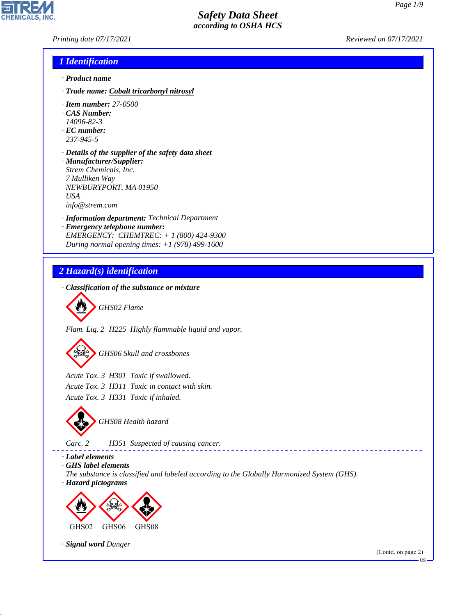*Printing date 07/17/2021 Reviewed on 07/17/2021*

#### *1 Identification*

- *· Product name*
- *· Trade name: Cobalt tricarbonyl nitrosyl*
- *· Item number: 27-0500*
- *· CAS Number:*
- *14096-82-3*
- *· EC number: 237-945-5*
- *· Details of the supplier of the safety data sheet · Manufacturer/Supplier: Strem Chemicals, Inc. 7 Mulliken Way NEWBURYPORT, MA 01950 USA*

*info@strem.com*

- *· Information department: Technical Department*
- *· Emergency telephone number: EMERGENCY: CHEMTREC: + 1 (800) 424-9300 During normal opening times: +1 (978) 499-1600*





44.1.1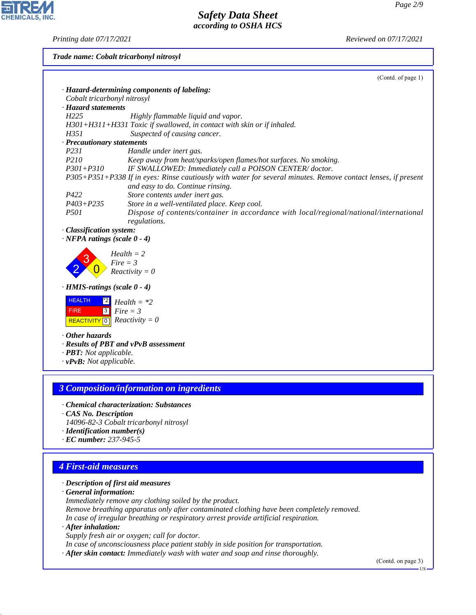*Printing date 07/17/2021 Reviewed on 07/17/2021*

**CHEMICALS, INC.** 

*Trade name: Cobalt tricarbonyl nitrosyl*

|                                                                | (Contd. of page 1)                                                                                                                                 |
|----------------------------------------------------------------|----------------------------------------------------------------------------------------------------------------------------------------------------|
|                                                                | · Hazard-determining components of labeling:                                                                                                       |
| Cobalt tricarbonyl nitrosyl                                    |                                                                                                                                                    |
| · Hazard statements                                            |                                                                                                                                                    |
| H225                                                           | Highly flammable liquid and vapor.                                                                                                                 |
|                                                                | H301+H311+H331 Toxic if swallowed, in contact with skin or if inhaled.                                                                             |
| H351                                                           | Suspected of causing cancer.                                                                                                                       |
| · Precautionary statements                                     |                                                                                                                                                    |
| P231                                                           | Handle under inert gas.                                                                                                                            |
| P <sub>210</sub>                                               | Keep away from heat/sparks/open flames/hot surfaces. No smoking.                                                                                   |
| $P301 + P310$                                                  | IF SWALLOWED: Immediately call a POISON CENTER/doctor.                                                                                             |
|                                                                | P305+P351+P338 If in eyes: Rinse cautiously with water for several minutes. Remove contact lenses, if present<br>and easy to do. Continue rinsing. |
| P422                                                           | Store contents under inert gas.                                                                                                                    |
| $P403 + P235$                                                  | Store in a well-ventilated place. Keep cool.                                                                                                       |
| <i>P501</i>                                                    | Dispose of contents/container in accordance with local/regional/national/international<br>regulations.                                             |
| · Classification system:<br>$\cdot$ NFPA ratings (scale 0 - 4) |                                                                                                                                                    |
|                                                                | $Health = 2$                                                                                                                                       |
|                                                                | $Fire = 3$                                                                                                                                         |
|                                                                | $Reactivity = 0$                                                                                                                                   |
| · HMIS-ratings (scale 0 - 4)                                   |                                                                                                                                                    |
| <b>HEALTH</b><br>$^{\ast 2}$                                   | $Health = *2$                                                                                                                                      |
| 3 <br><b>FIRE</b>                                              | $Fire = 3$                                                                                                                                         |
| REACTIVITY 0 Reactivity = 0                                    |                                                                                                                                                    |
| Other hazards                                                  |                                                                                                                                                    |
|                                                                | · Results of PBT and vPvB assessment                                                                                                               |
| · <b>PBT</b> : Not applicable.                                 |                                                                                                                                                    |
| $\cdot$ vPvB: Not applicable.                                  |                                                                                                                                                    |
|                                                                |                                                                                                                                                    |
|                                                                |                                                                                                                                                    |
|                                                                | <b>3 Composition/information on ingredients</b>                                                                                                    |

- *· Chemical characterization: Substances*
- *· CAS No. Description*
- *14096-82-3 Cobalt tricarbonyl nitrosyl*
- *· Identification number(s)*
- *· EC number: 237-945-5*

## *4 First-aid measures*

*· Description of first aid measures*

*· General information:*

*Immediately remove any clothing soiled by the product.*

*Remove breathing apparatus only after contaminated clothing have been completely removed. In case of irregular breathing or respiratory arrest provide artificial respiration.*

*· After inhalation:*

44.1.1

*Supply fresh air or oxygen; call for doctor.*

*In case of unconsciousness place patient stably in side position for transportation.*

*· After skin contact: Immediately wash with water and soap and rinse thoroughly.*

(Contd. on page 3)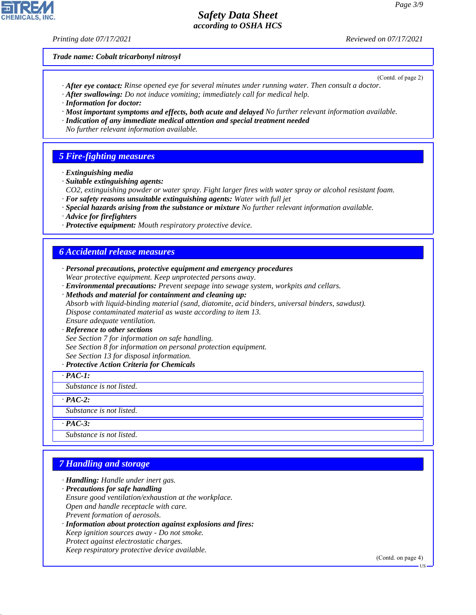#### *Printing date 07/17/2021 Reviewed on 07/17/2021*

*Trade name: Cobalt tricarbonyl nitrosyl*

(Contd. of page 2)

- *· After eye contact: Rinse opened eye for several minutes under running water. Then consult a doctor.*
- *· After swallowing: Do not induce vomiting; immediately call for medical help.*
- *· Information for doctor:*
- *· Most important symptoms and effects, both acute and delayed No further relevant information available.*
- *· Indication of any immediate medical attention and special treatment needed*
- *No further relevant information available.*

## *5 Fire-fighting measures*

- *· Extinguishing media*
- *· Suitable extinguishing agents:*
- *CO2, extinguishing powder or water spray. Fight larger fires with water spray or alcohol resistant foam. · For safety reasons unsuitable extinguishing agents: Water with full jet*
- *· Special hazards arising from the substance or mixture No further relevant information available.*
- *· Advice for firefighters*
- *· Protective equipment: Mouth respiratory protective device.*

## *6 Accidental release measures*

- *· Personal precautions, protective equipment and emergency procedures Wear protective equipment. Keep unprotected persons away.*
- *· Environmental precautions: Prevent seepage into sewage system, workpits and cellars.*
- *· Methods and material for containment and cleaning up: Absorb with liquid-binding material (sand, diatomite, acid binders, universal binders, sawdust). Dispose contaminated material as waste according to item 13.*

# *Ensure adequate ventilation.*

#### *· Reference to other sections*

- *See Section 7 for information on safe handling.*
- *See Section 8 for information on personal protection equipment.*
- *See Section 13 for disposal information.*

#### *· Protective Action Criteria for Chemicals*

*· PAC-1:*

*Substance is not listed.*

*· PAC-2:*

*Substance is not listed.*

*· PAC-3:*

44.1.1

*Substance is not listed.*

# *7 Handling and storage*

- *· Handling: Handle under inert gas.*
- *· Precautions for safe handling Ensure good ventilation/exhaustion at the workplace. Open and handle receptacle with care. Prevent formation of aerosols. · Information about protection against explosions and fires:*
- *Keep ignition sources away Do not smoke. Protect against electrostatic charges. Keep respiratory protective device available.*

(Contd. on page 4)

US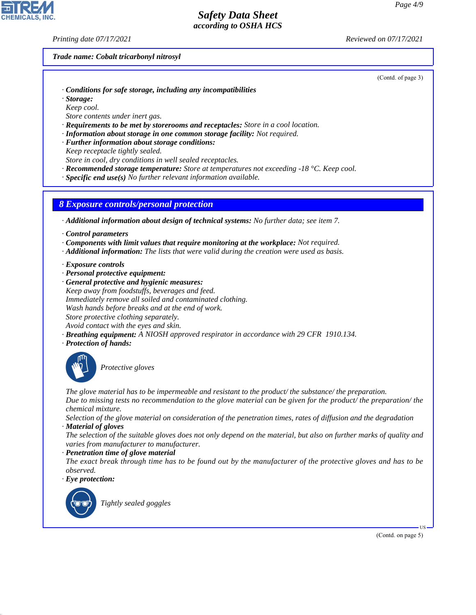*Printing date 07/17/2021 Reviewed on 07/17/2021*

#### *Trade name: Cobalt tricarbonyl nitrosyl*

(Contd. of page 3)

- *· Conditions for safe storage, including any incompatibilities*
- *· Storage:*
- *Keep cool.*
- *Store contents under inert gas.*
- *· Requirements to be met by storerooms and receptacles: Store in a cool location.*
- *· Information about storage in one common storage facility: Not required.*
- *· Further information about storage conditions: Keep receptacle tightly sealed.*
- *Store in cool, dry conditions in well sealed receptacles.*
- *· Recommended storage temperature: Store at temperatures not exceeding -18 °C. Keep cool.*
- *· Specific end use(s) No further relevant information available.*

#### *8 Exposure controls/personal protection*

*· Additional information about design of technical systems: No further data; see item 7.*

- *· Control parameters*
- *· Components with limit values that require monitoring at the workplace: Not required.*
- *· Additional information: The lists that were valid during the creation were used as basis.*
- *· Exposure controls*
- *· Personal protective equipment:*
- *· General protective and hygienic measures: Keep away from foodstuffs, beverages and feed. Immediately remove all soiled and contaminated clothing. Wash hands before breaks and at the end of work. Store protective clothing separately. Avoid contact with the eyes and skin.*
- *· Breathing equipment: A NIOSH approved respirator in accordance with 29 CFR 1910.134.*
- *· Protection of hands:*



\_S*Protective gloves*

*The glove material has to be impermeable and resistant to the product/ the substance/ the preparation. Due to missing tests no recommendation to the glove material can be given for the product/ the preparation/ the chemical mixture.*

*Selection of the glove material on consideration of the penetration times, rates of diffusion and the degradation · Material of gloves*

*The selection of the suitable gloves does not only depend on the material, but also on further marks of quality and varies from manufacturer to manufacturer.*

*· Penetration time of glove material*

*The exact break through time has to be found out by the manufacturer of the protective gloves and has to be observed.*

*· Eye protection:*



44.1.1

\_R*Tightly sealed goggles*

(Contd. on page 5)

US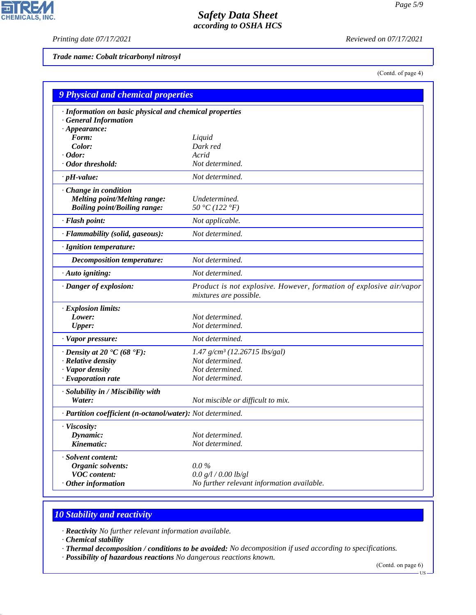$\overline{\mathbf{r}}$ 

CHEMICALS, INC.

*Printing date 07/17/2021 Reviewed on 07/17/2021*

*Trade name: Cobalt tricarbonyl nitrosyl*

(Contd. of page 4)

| <b>9 Physical and chemical properties</b>                  |                                                                                               |
|------------------------------------------------------------|-----------------------------------------------------------------------------------------------|
| · Information on basic physical and chemical properties    |                                                                                               |
| · General Information                                      |                                                                                               |
| $\cdot$ Appearance:                                        |                                                                                               |
| Form:<br>Color:                                            | Liquid<br>Dark red                                                                            |
| $\cdot$ Odor:                                              | Acrid                                                                                         |
| · Odor threshold:                                          | Not determined.                                                                               |
| $\cdot$ pH-value:                                          | Not determined.                                                                               |
|                                                            |                                                                                               |
| Change in condition                                        |                                                                                               |
| <b>Melting point/Melting range:</b>                        | Undetermined.                                                                                 |
| <b>Boiling point/Boiling range:</b>                        | 50 °C (122 °F)                                                                                |
| · Flash point:                                             | Not applicable.                                                                               |
| · Flammability (solid, gaseous):                           | Not determined.                                                                               |
| · Ignition temperature:                                    |                                                                                               |
| <b>Decomposition temperature:</b>                          | Not determined.                                                                               |
| · Auto igniting:                                           | Not determined.                                                                               |
| · Danger of explosion:                                     | Product is not explosive. However, formation of explosive air/vapor<br>mixtures are possible. |
| · Explosion limits:                                        |                                                                                               |
| Lower:                                                     | Not determined.                                                                               |
| <b>Upper:</b>                                              | Not determined.                                                                               |
| · Vapor pressure:                                          | Not determined.                                                                               |
| $\cdot$ Density at 20 $\cdot$ C (68 $\cdot$ F):            | 1.47 g/cm <sup>3</sup> (12.26715 lbs/gal)                                                     |
| · Relative density                                         | Not determined.                                                                               |
| · Vapor density                                            | Not determined.                                                                               |
| $\cdot$ Evaporation rate                                   | Not determined.                                                                               |
| · Solubility in / Miscibility with                         |                                                                                               |
| Water:                                                     | Not miscible or difficult to mix.                                                             |
| · Partition coefficient (n-octanol/water): Not determined. |                                                                                               |
| · Viscosity:                                               |                                                                                               |
| Dynamic:                                                   | Not determined.                                                                               |
| Kinematic:                                                 | Not determined.                                                                               |
| · Solvent content:                                         |                                                                                               |
| Organic solvents:                                          | $0.0\%$                                                                                       |
| <b>VOC</b> content:                                        | 0.0 g/l / 0.00 lb/gl                                                                          |
| $·$ Other information                                      | No further relevant information available.                                                    |

# *10 Stability and reactivity*

*· Reactivity No further relevant information available.*

*· Chemical stability*

44.1.1

*· Thermal decomposition / conditions to be avoided: No decomposition if used according to specifications.*

*· Possibility of hazardous reactions No dangerous reactions known.*

(Contd. on page 6)

US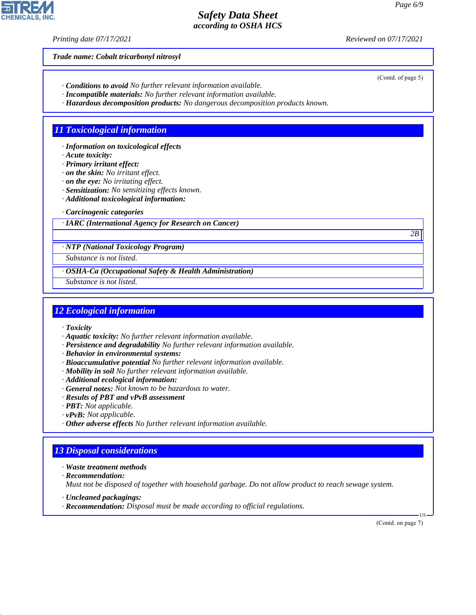*Printing date 07/17/2021 Reviewed on 07/17/2021*

*Trade name: Cobalt tricarbonyl nitrosyl*

- *· Conditions to avoid No further relevant information available.*
- *· Incompatible materials: No further relevant information available.*
- *· Hazardous decomposition products: No dangerous decomposition products known.*

## *11 Toxicological information*

*· Information on toxicological effects*

- *· Acute toxicity:*
- *· Primary irritant effect:*
- *· on the skin: No irritant effect.*
- *· on the eye: No irritating effect.*
- *· Sensitization: No sensitizing effects known.*
- *· Additional toxicological information:*
- *· Carcinogenic categories*
- *· IARC (International Agency for Research on Cancer)*

*· NTP (National Toxicology Program)*

*Substance is not listed.*

- *· OSHA-Ca (Occupational Safety & Health Administration)*
- *Substance is not listed.*

#### *12 Ecological information*

- *· Toxicity*
- *· Aquatic toxicity: No further relevant information available.*
- *· Persistence and degradability No further relevant information available.*
- *· Behavior in environmental systems:*
- *· Bioaccumulative potential No further relevant information available.*
- *· Mobility in soil No further relevant information available.*
- *· Additional ecological information:*
- *· General notes: Not known to be hazardous to water.*
- *· Results of PBT and vPvB assessment*
- *· PBT: Not applicable.*
- *· vPvB: Not applicable.*
- *· Other adverse effects No further relevant information available.*

## *13 Disposal considerations*

- *· Waste treatment methods*
- *· Recommendation:*

44.1.1

*Must not be disposed of together with household garbage. Do not allow product to reach sewage system.*

- *· Uncleaned packagings:*
- *· Recommendation: Disposal must be made according to official regulations.*

(Contd. on page 7)

US



(Contd. of page 5)

*2B*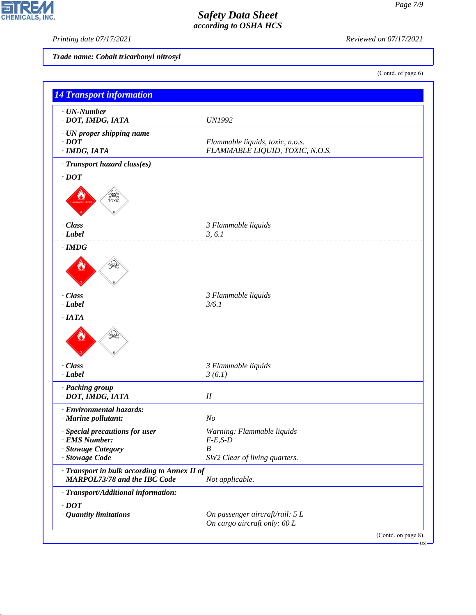*Printing date 07/17/2021 Reviewed on 07/17/2021*

*Trade name: Cobalt tricarbonyl nitrosyl*

(Contd. of page 6)

| $\cdot$ UN-Number                                                            |                                      |  |
|------------------------------------------------------------------------------|--------------------------------------|--|
| · DOT, IMDG, IATA                                                            | <b>UN1992</b>                        |  |
| · UN proper shipping name                                                    |                                      |  |
| $\cdot$ DOT                                                                  | Flammable liquids, toxic, n.o.s.     |  |
| $·$ <i>IMDG, IATA</i>                                                        | FLAMMABLE LIQUID, TOXIC, N.O.S.      |  |
| · Transport hazard class(es)                                                 |                                      |  |
| $\cdot$ DOT                                                                  |                                      |  |
| <b>SEE</b>                                                                   |                                      |  |
|                                                                              |                                      |  |
| · Class                                                                      | 3 Flammable liquids                  |  |
| $-Label$                                                                     | 3, 6.1                               |  |
| $\cdot$ IMDG                                                                 |                                      |  |
|                                                                              |                                      |  |
| · Class                                                                      | 3 Flammable liquids                  |  |
| $\cdot$ Label                                                                | 3/6.1<br><u> La La La La La La L</u> |  |
| $\cdot$ IATA                                                                 |                                      |  |
| · Class                                                                      | 3 Flammable liquids                  |  |
| $\cdot$ <i>Label</i>                                                         | 3(6.1)                               |  |
| · Packing group                                                              |                                      |  |
| · DOT, IMDG, IATA                                                            | $I\!I$                               |  |
| · Environmental hazards:                                                     |                                      |  |
| · Marine pollutant:                                                          | N <sub>O</sub>                       |  |
| · Special precautions for user                                               | Warning: Flammable liquids           |  |
| · EMS Number:                                                                | $F-E$ , $S-D$                        |  |
| · Stowage Category                                                           | $\boldsymbol{B}$                     |  |
| · Stowage Code                                                               | SW2 Clear of living quarters.        |  |
| · Transport in bulk according to Annex II of<br>MARPOL73/78 and the IBC Code | Not applicable.                      |  |
| · Transport/Additional information:                                          |                                      |  |
| $\cdot$ <i>DOT</i>                                                           |                                      |  |
| · Quantity limitations                                                       | On passenger aircraft/rail: 5 L      |  |
|                                                                              | On cargo aircraft only: 60 L         |  |



44.1.1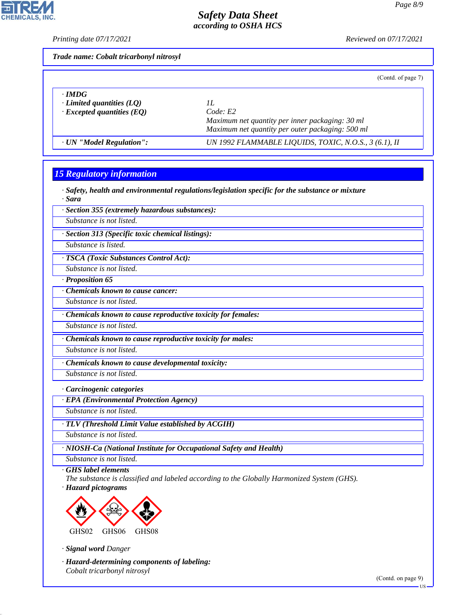**CHEMICALS.** 

*Printing date 07/17/2021 Reviewed on 07/17/2021*

| Trade name: Cobalt tricarbonyl nitrosyl |  |
|-----------------------------------------|--|
|                                         |  |

|  | (Contd. of page 7) |  |
|--|--------------------|--|
|--|--------------------|--|

| · IMDG                           | Code: E2                                              |
|----------------------------------|-------------------------------------------------------|
| $\cdot$ Limited quantities (LQ)  | Maximum net quantity per inner packaging: 30 ml       |
| $\cdot$ Excepted quantities (EQ) | Maximum net quantity per outer packaging: 500 ml      |
| · UN "Model Regulation":         | UN 1992 FLAMMABLE LIQUIDS, TOXIC, N.O.S., 3 (6.1), II |

## *15 Regulatory information*

*· Safety, health and environmental regulations/legislation specific for the substance or mixture · Sara*

*· Section 355 (extremely hazardous substances):*

*Substance is not listed.*

*· Section 313 (Specific toxic chemical listings):*

*Substance is listed.*

*· TSCA (Toxic Substances Control Act):*

*Substance is not listed.*

*· Proposition 65*

*· Chemicals known to cause cancer:*

*Substance is not listed.*

*· Chemicals known to cause reproductive toxicity for females:*

*Substance is not listed.*

*· Chemicals known to cause reproductive toxicity for males:*

*Substance is not listed.*

*· Chemicals known to cause developmental toxicity:*

*Substance is not listed.*

*· Carcinogenic categories*

*· EPA (Environmental Protection Agency)*

*Substance is not listed.*

*· TLV (Threshold Limit Value established by ACGIH)*

*Substance is not listed.*

*· NIOSH-Ca (National Institute for Occupational Safety and Health)*

*Substance is not listed. · GHS label elements*

*The substance is classified and labeled according to the Globally Harmonized System (GHS). · Hazard pictograms*



*· Signal word Danger*

44.1.1

*· Hazard-determining components of labeling: Cobalt tricarbonyl nitrosyl*

(Contd. on page 9)

US